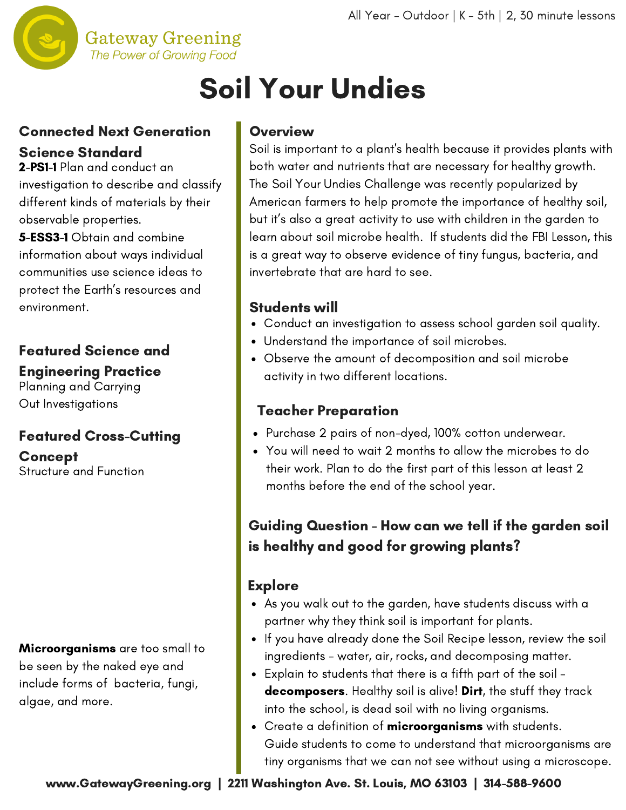

# Soil Your Undies

## Connected Next Generation Science Standard

2-PS1-1 Plan and conduct an investigation to describe and classify different kinds of materials by their observable properties.

5-ESS3-1 Obtain and combine information about ways individual communities use science ideas to protect the Earth's resources and environment.

## Featured Science and

#### Engineering Practice

Planning and Carrying Out Investigations

## Featured Cross-Cutting

**Concept** Structure and Function

Microorganisms are too small to be seen by the naked eye and include forms of bacteria, fungi, algae, and more.

#### **Overview**

Soil is important to a plant's health because it provides plants with both water and nutrients that are necessary for healthy growth. The Soil Your Undies Challenge was recently popularized by American farmers to help promote the importance of healthy soil, but it's also a great activity to use with children in the garden to learn about soil microbe health. If students did the FBI Lesson, this is a great way to observe evidence of tiny fungus, bacteria, and invertebrate that are hard to see.

#### Students will

- Conduct an investigation to assess school garden soil quality.
- Understand the importance of soil microbes.
- Observe the amount of decomposition and soil microbe activity in two different locations.

### Teacher Preparation

- Purchase 2 pairs of non-dyed, 100% cotton underwear.
- You will need to wait 2 months to allow the microbes to do their work. Plan to do the first part of this lesson at least 2 months before the end of the school year.

## Guiding Question - How can we tell if the garden soil is healthy and good for growing plants?

## **Explore**

- As you walk out to the garden, have students discuss with a partner why they think soil is important for plants.
- If you have already done the Soil Recipe lesson, review the soil ingredients - water, air, rocks, and decomposing matter.
- Explain to students that there is a fifth part of the soil decomposers. Healthy soil is alive! Dirt, the stuff they track into the school, is dead soil with no living organisms.
- Create a definition of microorganisms with students. Guide students to come to understand that microorganisms are tiny organisms that we can not see without using a microscope.

www.GatewayGreening.org | 2211 Washington Ave. St. Louis, MO 63103 | 314-588-9600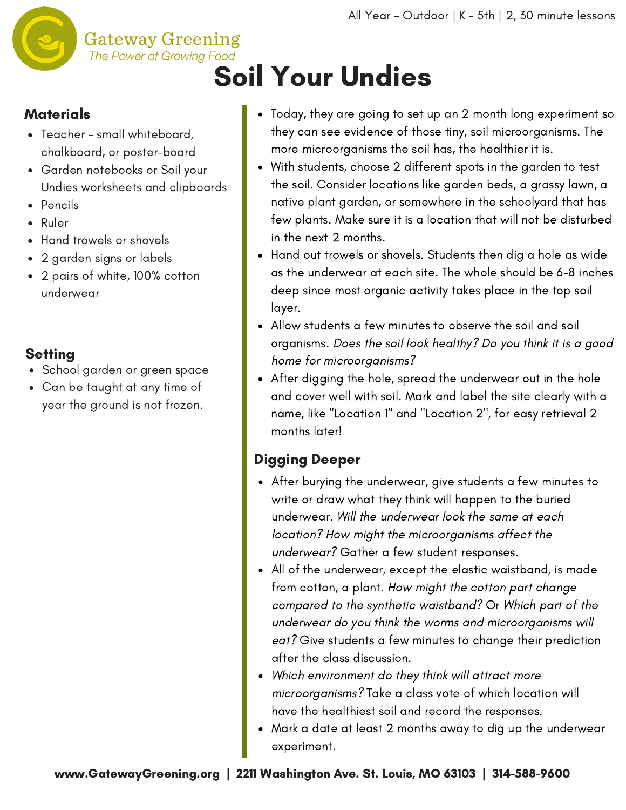

#### **Materials**

- Teacher small whiteboard, chalkboard, or poster-board
- Garden notebooks or Soil your Undies worksheets and clipboards

**Gateway Greening** 

- Pencils
- Ruler
- Hand trowels or shovels
- 2 garden signs or labels
- 2 pairs of white, 100% cotton underwear

#### **Setting**

- School garden or green space
- Can be taught at any time of year the ground is not frozen.
- Today, they are going to set up an 2 month long experiment so they can see evidence of those tiny, soil microorganisms. The more microorganisms the soil has, the healthier it is.
- With students, choose 2 different spots in the garden to test the soil. Consider locations like garden beds, a grassy lawn, a native plant garden, or somewhere in the schoolyard that has few plants. Make sure it is a location that will not be disturbed in the next 2 months.
- Hand out trowels or shovels. Students then dig a hole as wide as the underwear at each site. The whole should be 6-8 inches deep since most organic activity takes place in the top soil layer.
- Allow students a few minutes to observe the soil and soil organisms. Does the soil look healthy? Do you think it is a good home for microorganisms?
- After digging the hole, spread the underwear out in the hole and cover well with soil. Mark and label the site clearly with a name, like "Location 1" and "Location 2", for easy retrieval 2 months later!

### Digging Deeper

- After burying the underwear, give students a few minutes to write or draw what they think will happen to the buried underwear. Will the underwear look the same at each location? How might the microorganisms affect the underwear? Gather a few student responses.
- All of the underwear, except the elastic waistband, is made from cotton, a plant. How might the cotton part change compared to the synthetic waistband? Or Which part of the underwear do you think the worms and microorganisms will eat? Give students a few minutes to change their prediction after the class discussion.
- Which environment do they think will attract more microorganisms? Take a class vote of which location will have the healthiest soil and record the responses.
- Mark a date at least 2 months away to dig up the underwear experiment.